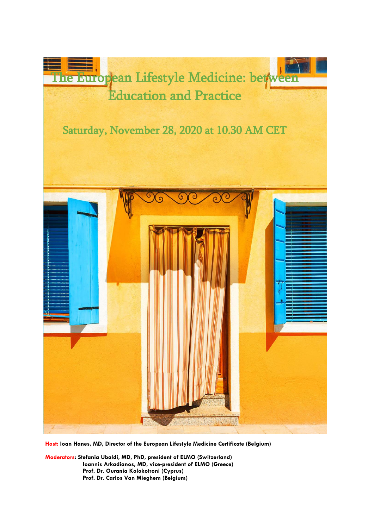

**Host: Ioan Hanes, MD, Director of the European Lifestyle Medicine Certificate (Belgium)**

**Moderators: Stefania Ubaldi, MD, PhD, president of ELMO (Switzerland) Ioannis Arkadianos, MD, vice-president of ELMO (Greece) Prof. Dr. Ourania Kolokotroni (Cyprus) Prof. Dr. Carlos Van Mieghem (Belgium)**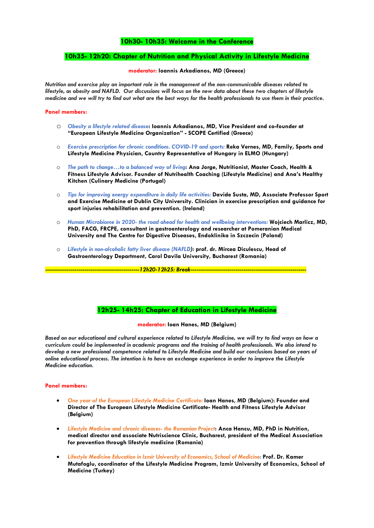# **10h30- 10h35: Welcome in the Conference**

# **10h35- 12h20: Chapter of Nutrition and Physical Activity in Lifestyle Medicine**

## **moderator: Ioannis Arkadianos, MD (Greece)**

*Nutrition and exercise play an important role in the management of the non-communicable diseases related to* lifestyle, as obesity and NAFLD. Our discussions will focus on the new data about these two chapters of lifestyle medicine and we will try to find out what are the best ways for the health professionals to use them in their practice.

## **Panel members:**

- o *Obesity a lifestyle related disease***: Ioannis Arkadianos, MD, Vice President and co-founder at "European Lifestyle Medicine Organization" - SCOPE Certified (Greece)**
- o *Exercise prescription for chronic conditions. COVID-19 and sports:* **Reka Vernes, MD, Family, Sports and Lifestyle Medicine Physician, Country Representative of Hungary in ELMO (Hungary)**
- o *The path to change…to a balanced way of living***: Ana Jorge, Nutritionist, Master Coach, Health & Fitness Lifestyle Advisor. Founder of Nutrihealth Coaching (Lifestyle Medicine) and Ana's Healthy Kitchen (Culinary Medicine (Portugal)**
- o *Tips for improving energy expenditure in daily life activities:* **Davide Susta, MD, Associate Professor Sport and Exercise Medicine at Dublin City University. Clinician in exercise prescription and guidance for sport injuries rehabilitation and prevention. (Ireland)**
- o *Human Microbiome in 2020- the road ahead for health and wellbeing interventions:* **Wojciech Marlicz, MD, PhD, FACG, FRCPE, consultant in gastroenterology and researcher at Pomeranian Medical University and The Centre for Digestive Diseases, Endoklinika in Szczecin (Poland)**
- o *Lifestyle in non-alcoholic fatty liver disease (NAFLD)***: prof. dr. Mircea Diculescu, Head of Gastroenterology Department, Carol Davila University, Bucharest (Romania)**

*------------------------------------------------12h20-12h25: Break-----------------------------------------------------------*

# **12h25- 14h25: Chapter of Education in Lifestyle Medicine**

**moderator: Ioan Hanes, MD (Belgium)**

Based on our educational and cultural experience related to Lifestyle Medicine, we will try to find ways on how a *curriculum could be implemented in academic programs and the training of health professionals. We also intend to* develop a new professional competence related to Lifestyle Medicine and build our conclusions based on years of *online educational process. The intention is to have an exchange experience in order to improve the Lifestyle Medicine education.*

## **Panel members:**

- *One year of the European Lifestyle Medicine Certificate:* **Ioan Hanes, MD (Belgium): Founder and Director of The European Lifestyle Medicine Certificate- Health and Fitness Lifestyle Advisor (Belgium)**
- *Lifestyle Medicine and chronic diseases- the Romanian Project***: Anca Hancu, MD, PhD in Nutrition, medical director and associate Nutriscience Clinic, Bucharest, president of the Medical Association for prevention through lifestyle medicine (Romania)**
- *Lifestyle Medicine Education in Izmir University of Economics, School of Medicine:* **Prof. Dr. Kamer Mutafoglu, coordinator of the Lifestyle Medicine Program, Izmir University of Economics, School of Medicine (Turkey)**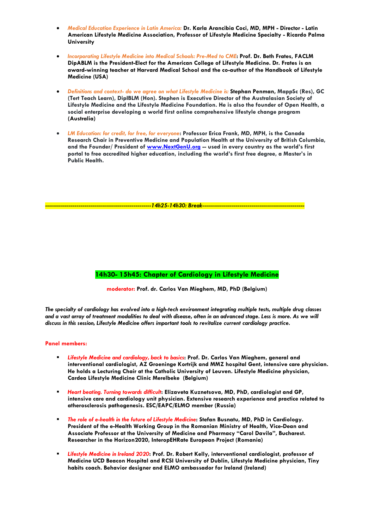- *Medical Education Experience in Latin America:* **Dr. Karla Arancibia Coci, MD, MPH - Director - Latin American Lifestyle Medicine Association, Professor of Lifestyle Medicine Specialty - Ricardo Palma University**
- *Incorporating Lifestyle Medicine into Medical Schools: Pre-Med to CME***: Prof. Dr. Beth Frates, FACLM DipABLM is the President-Elect for the American College of Lifestyle Medicine. Dr. Frates is an award-winning teacher at Harvard Medical School and the co-author of the Handbook of Lifestyle Medicine (USA)**
- *Definitions and context- do we agree on what Lifestyle Medicine is:* **Stephan Penman, MappSc (Res), GC (Tert Teach Learn), DipIBLM (Hon). Stephen is Executive Director of the Australasian Society of Lifestyle Medicine and the Lifestyle Medicine Foundation. He is also the founder of Open Health, a social enterprise developing a world first online comprehensive lifestyle change program (Australia)**
- *LM Education: for credit, for free, for everyone***: Professor Erica Frank, MD, MPH, is the Canada Research Chair in Preventive Medicine and Population Health at the University of British Columbia, and the Founder/ President of [www.NextGenU.org](http://www.nextgenu.org/) -- used in every country as the world's first portal to free accredited higher education, including the world's first free degree, a Master's in Public Health.**

*------------------------------------------------------14h25-14h30: Break----------------------------------------------------*

# **14h30- 15h45: Chapter of Cardiology in Lifestyle Medicine**

**moderator: Prof. dr. Carlos Van Mieghem, MD, PhD (Belgium)**

The specialty of cardiology has evolved into a high-tech environment integrating multiple tests, multiple drug classes and a vast array of treatment modalities to deal with disease, often in an advanced stage. Less is more. As we will *discuss in this session, Lifestyle Medicine offers important tools to revitalize current cardiology practice.*

## **Panel members:**

- *Lifestyle Medicine and cardiology, back to basics***: Prof. Dr. Carlos Van Mieghem, general and interventional cardiologist, AZ Groeninge Kortrijk and MMZ hospital Gent, intensive care physician. He holds a Lecturing Chair at the Catholic University of Leuven. Lifestyle Medicine physician, Cardea Lifestyle Medicine Clinic Merelbeke (Belgium)**
- *Heart beating. Turning towards difficult***: Elizaveta Kuznetsova, MD, PhD, cardiologist and GP, intensive care and cardiology unit physician. Extensive research experience and practice related to atherosclerosis pathogenesis. ESC/EAPC/ELMO member (Russia)**
- *The role of e-health in the future of Lifestyle Medicine***: Stefan Busnatu, MD, PhD in Cardiology. President of the e-Health Working Group in the Romanian Ministry of Health, Vice-Dean and Associate Professor at the University of Medicine and Pharmacy "Carol Davila", Bucharest. Researcher in the Horizon2020, InteropEHRate European Project (Romania)**
- *Lifestyle Medicine in Ireland 2020***: Prof. Dr. Robert Kelly, interventional cardiologist, professor of Medicine UCD Beacon Hospital and RCSI University of Dublin, Lifestyle Medicine physician, Tiny habits coach. Behavior designer and ELMO ambassador for Ireland (Ireland)**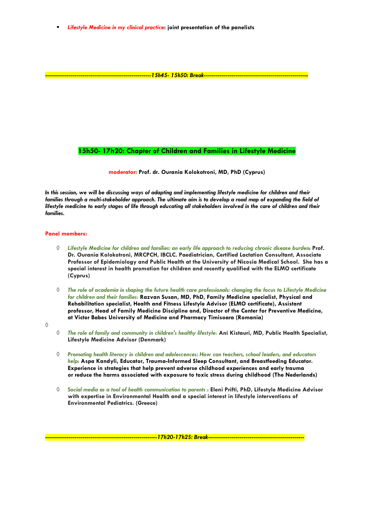▪ *Lifestyle Medicine in my clinical practice***: joint presentation of the panelists**

# **15h50- 17h20: Chapter of Children and Families in Lifestyle Medicine**

*------------------------------------------------------15h45- 15h50: Break-----------------------------------------------------*

#### **moderator: Prof. dr. Ourania Kolokotroni, MD, PhD (Cyprus)**

In this session, we will be discussing ways of adapting and implementing lifestyle medicine for children and their families through a multi-stakeholder approach. The ultimate aim is to develop a road map of expanding the field of lifestyle medicine to early stages of life through educating all stakeholders involved in the care of children and their *families.*

#### **Panel members:**

- *Lifestyle Medicine for children and families: an early life approach to reducing chronic disease burden*: **Prof. Dr. Ourania Kolokotroni, MRCPCH, IBCLC. Paediatrician, Certified Lactation Consultant, Associate Professor of Epidemiology and Public Health at the University of Nicosia Medical School. She has a special interest in health promotion for children and recently qualified with the ELMO certificate (Cyprus)**
- *The role of academia in shaping the future health care professionals: changing the focus to Lifestyle Medicine for children and their families*: **Razvan Susan, MD, PhD, Family Medicine specialist, Physical and Rehabilitation specialist, Health and Fitness Lifestyle Advisor (ELMO certificate), Assistant professor, Head of Family Medicine Discipline and, Director of the Center for Preventive Medicine, at Victor Babes University of Medicine and Pharmacy Timisoara (Romania)**
- $\Diamond$
- *The role of family and community in children's healthy lifestyle*: **Ani Kistauri, MD, Public Health Specialist, Lifestyle Medicine Advisor (Denmark)**
- *Promoting health literacy in children and adolescences: How can teachers, school leaders, and educators help*: **Aspa Kandyli, Educator, Trauma-Informed Sleep Consultant, and Breastfeeding Educator. Experience in strategies that help prevent adverse childhood experiences and early trauma or reduce the harms associated with exposure to toxic stress during childhood (The Nederlands)**
- *Social media as a tool of health communication to parents* : **Eleni Prifti, PhD, Lifestyle Medicine Advisor with expertise in Environmental Health and a special interest in lifestyle interventions of Environmental Pediatrics. (Greece)**